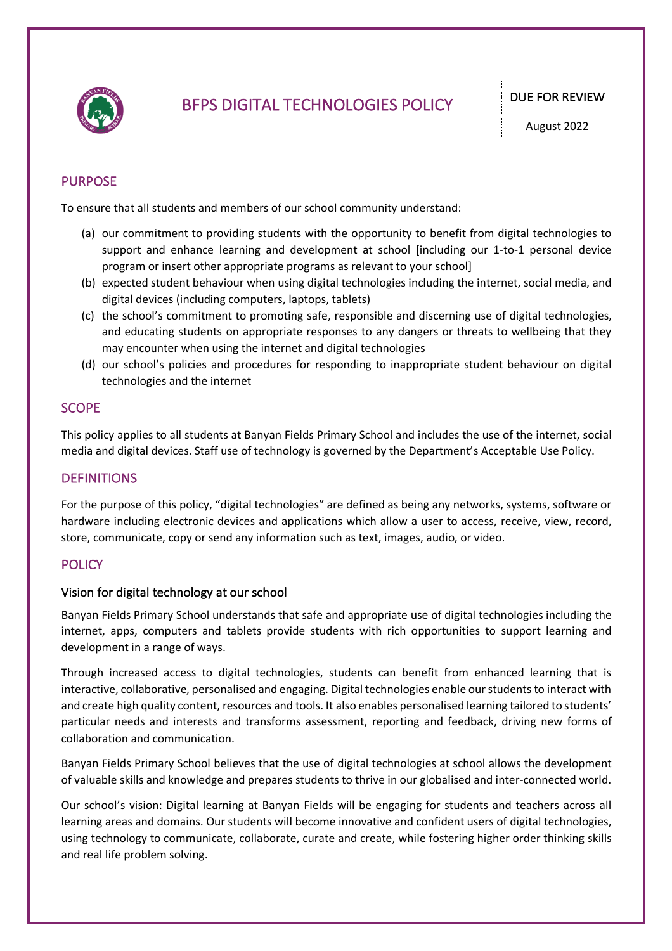

# BFPS DIGITAL TECHNOLOGIES POLICY DUE FOR REVIEW

## PURPOSE

To ensure that all students and members of our school community understand:

- (a) our commitment to providing students with the opportunity to benefit from digital technologies to support and enhance learning and development at school [including our 1-to-1 personal device program or insert other appropriate programs as relevant to your school]
- (b) expected student behaviour when using digital technologies including the internet, social media, and digital devices (including computers, laptops, tablets)
- (c) the school's commitment to promoting safe, responsible and discerning use of digital technologies, and educating students on appropriate responses to any dangers or threats to wellbeing that they may encounter when using the internet and digital technologies
- (d) our school's policies and procedures for responding to inappropriate student behaviour on digital technologies and the internet

## **SCOPE**

This policy applies to all students at Banyan Fields Primary School and includes the use of the internet, social media and digital devices. Staff use of technology is governed by the Department's Acceptable Use Policy.

## **DEFINITIONS**

For the purpose of this policy, "digital technologies" are defined as being any networks, systems, software or hardware including electronic devices and applications which allow a user to access, receive, view, record, store, communicate, copy or send any information such as text, images, audio, or video.

## **POLICY**

### Vision for digital technology at our school

Banyan Fields Primary School understands that safe and appropriate use of digital technologies including the internet, apps, computers and tablets provide students with rich opportunities to support learning and development in a range of ways.

Through increased access to digital technologies, students can benefit from enhanced learning that is interactive, collaborative, personalised and engaging. Digital technologies enable our students to interact with and create high quality content, resources and tools. It also enables personalised learning tailored to students' particular needs and interests and transforms assessment, reporting and feedback, driving new forms of collaboration and communication.

Banyan Fields Primary School believes that the use of digital technologies at school allows the development of valuable skills and knowledge and prepares students to thrive in our globalised and inter-connected world.

Our school's vision: Digital learning at Banyan Fields will be engaging for students and teachers across all learning areas and domains. Our students will become innovative and confident users of digital technologies, using technology to communicate, collaborate, curate and create, while fostering higher order thinking skills and real life problem solving.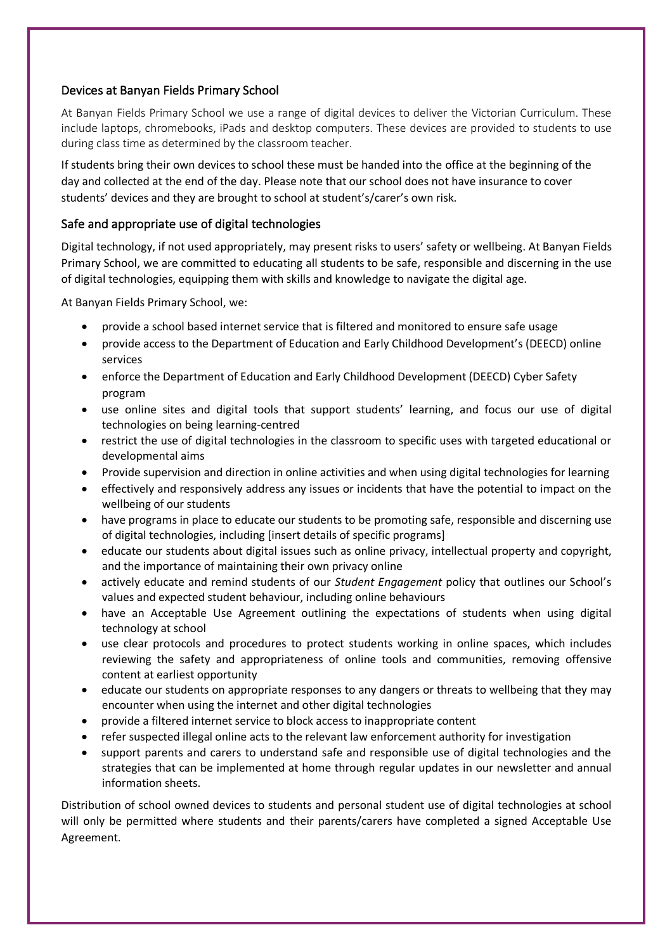## Devices at Banyan Fields Primary School

At Banyan Fields Primary School we use a range of digital devices to deliver the Victorian Curriculum. These include laptops, chromebooks, iPads and desktop computers. These devices are provided to students to use during class time as determined by the classroom teacher.

If students bring their own devices to school these must be handed into the office at the beginning of the day and collected at the end of the day. Please note that our school does not have insurance to cover students' devices and they are brought to school at student's/carer's own risk.

## Safe and appropriate use of digital technologies

Digital technology, if not used appropriately, may present risks to users' safety or wellbeing. At Banyan Fields Primary School, we are committed to educating all students to be safe, responsible and discerning in the use of digital technologies, equipping them with skills and knowledge to navigate the digital age.

At Banyan Fields Primary School, we:

- provide a school based internet service that is filtered and monitored to ensure safe usage
- provide access to the Department of Education and Early Childhood Development's (DEECD) online services
- enforce the Department of Education and Early Childhood Development (DEECD) Cyber Safety program
- use online sites and digital tools that support students' learning, and focus our use of digital technologies on being learning-centred
- restrict the use of digital technologies in the classroom to specific uses with targeted educational or developmental aims
- Provide supervision and direction in online activities and when using digital technologies for learning
- effectively and responsively address any issues or incidents that have the potential to impact on the wellbeing of our students
- have programs in place to educate our students to be promoting safe, responsible and discerning use of digital technologies, including [insert details of specific programs]
- educate our students about digital issues such as online privacy, intellectual property and copyright, and the importance of maintaining their own privacy online
- actively educate and remind students of our *Student Engagement* policy that outlines our School's values and expected student behaviour, including online behaviours
- have an Acceptable Use Agreement outlining the expectations of students when using digital technology at school
- use clear protocols and procedures to protect students working in online spaces, which includes reviewing the safety and appropriateness of online tools and communities, removing offensive content at earliest opportunity
- educate our students on appropriate responses to any dangers or threats to wellbeing that they may encounter when using the internet and other digital technologies
- provide a filtered internet service to block access to inappropriate content
- refer suspected illegal online acts to the relevant law enforcement authority for investigation
- support parents and carers to understand safe and responsible use of digital technologies and the strategies that can be implemented at home through regular updates in our newsletter and annual information sheets.

Distribution of school owned devices to students and personal student use of digital technologies at school will only be permitted where students and their parents/carers have completed a signed Acceptable Use Agreement.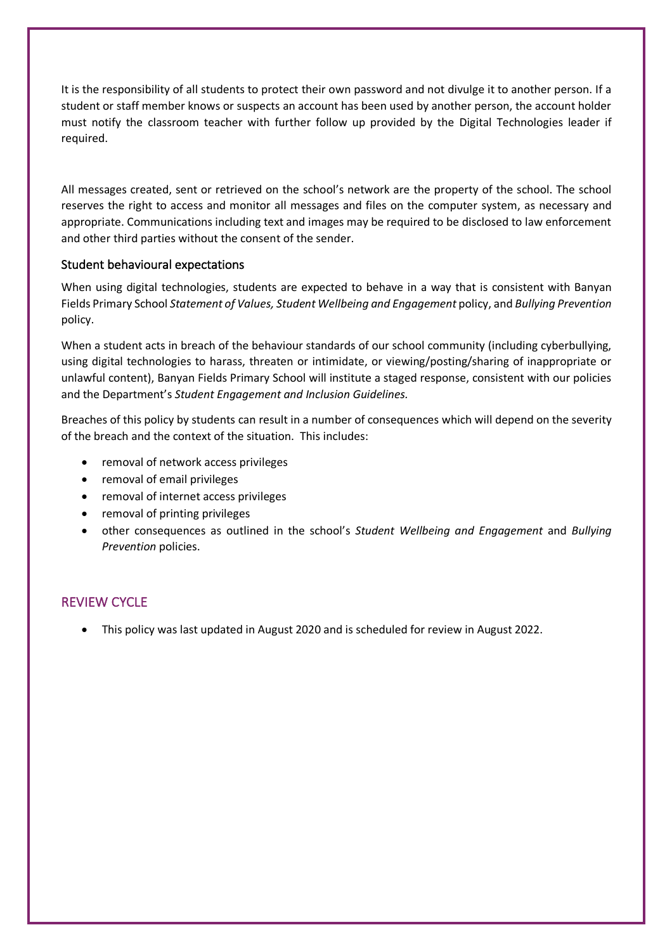It is the responsibility of all students to protect their own password and not divulge it to another person. If a student or staff member knows or suspects an account has been used by another person, the account holder must notify the classroom teacher with further follow up provided by the Digital Technologies leader if required.

All messages created, sent or retrieved on the school's network are the property of the school. The school reserves the right to access and monitor all messages and files on the computer system, as necessary and appropriate. Communications including text and images may be required to be disclosed to law enforcement and other third parties without the consent of the sender.

### Student behavioural expectations

When using digital technologies, students are expected to behave in a way that is consistent with Banyan Fields Primary School *Statement of Values, Student Wellbeing and Engagement* policy, and *Bullying Prevention*  policy.

When a student acts in breach of the behaviour standards of our school community (including cyberbullying, using digital technologies to harass, threaten or intimidate, or viewing/posting/sharing of inappropriate or unlawful content), Banyan Fields Primary School will institute a staged response, consistent with our policies and the Department's *Student Engagement and Inclusion Guidelines.*

Breaches of this policy by students can result in a number of consequences which will depend on the severity of the breach and the context of the situation. This includes:

- removal of network access privileges
- removal of email privileges
- removal of internet access privileges
- removal of printing privileges
- other consequences as outlined in the school's *Student Wellbeing and Engagement* and *Bullying Prevention* policies.

## REVIEW CYCLE

• This policy was last updated in August 2020 and is scheduled for review in August 2022.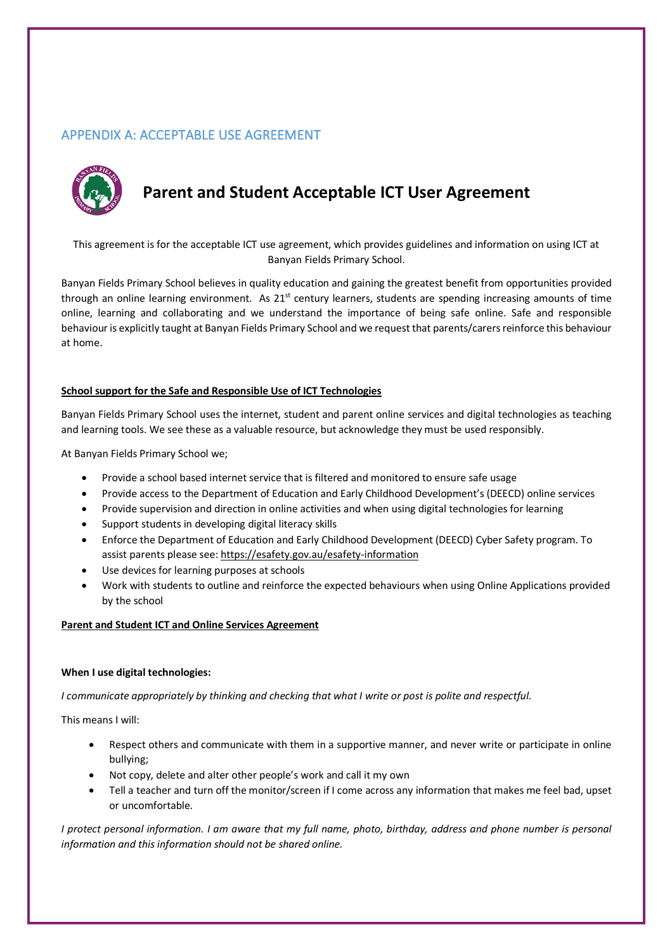## APPENDIX A: ACCEPTABLE USE AGREEMENT



## **Parent and Student Acceptable ICT User Agreement**

This agreement is for the acceptable ICT use agreement, which provides guidelines and information on using ICT at Banyan Fields Primary School.

Banyan Fields Primary School believes in quality education and gaining the greatest benefit from opportunities provided through an online learning environment. As  $21<sup>st</sup>$  century learners, students are spending increasing amounts of time online, learning and collaborating and we understand the importance of being safe online. Safe and responsible behaviour is explicitly taught at Banyan Fields Primary School and we request that parents/carers reinforce this behaviour at home.

#### **School support for the Safe and Responsible Use of ICT Technologies**

Banyan Fields Primary School uses the internet, student and parent online services and digital technologies as teaching and learning tools. We see these as a valuable resource, but acknowledge they must be used responsibly.

At Banyan Fields Primary School we;

- Provide a school based internet service that is filtered and monitored to ensure safe usage
- Provide access to the Department of Education and Early Childhood Development's (DEECD) online services
- Provide supervision and direction in online activities and when using digital technologies for learning
- Support students in developing digital literacy skills
- Enforce the Department of Education and Early Childhood Development (DEECD) Cyber Safety program. To assist parents please see: https://esafety.gov.au/esafety-information
- Use devices for learning purposes at schools
- Work with students to outline and reinforce the expected behaviours when using Online Applications provided by the school

#### **Parent and Student ICT and Online Services Agreement**

#### **When I use digital technologies:**

*I communicate appropriately by thinking and checking that what I write or post is polite and respectful.*

This means I will:

- Respect others and communicate with them in a supportive manner, and never write or participate in online bullying;
- Not copy, delete and alter other people's work and call it my own
- Tell a teacher and turn off the monitor/screen if I come across any information that makes me feel bad, upset or uncomfortable.

*I protect personal information. I am aware that my full name, photo, birthday, address and phone number is personal information and this information should not be shared online.*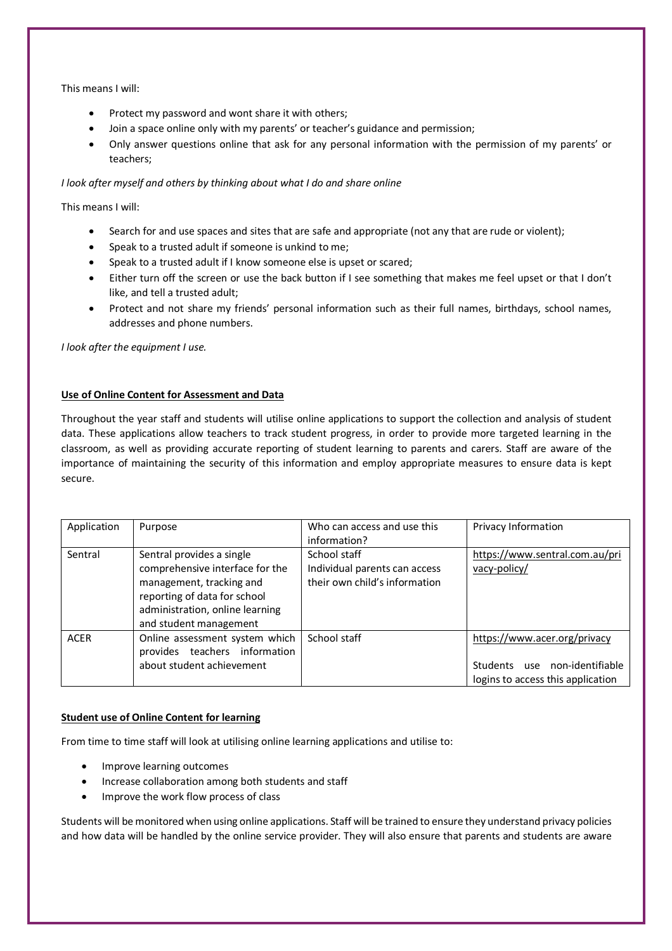This means I will:

- Protect my password and wont share it with others;
- Join a space online only with my parents' or teacher's guidance and permission;
- Only answer questions online that ask for any personal information with the permission of my parents' or teachers;

*I look after myself and others by thinking about what I do and share online*

This means I will:

- Search for and use spaces and sites that are safe and appropriate (not any that are rude or violent);
- Speak to a trusted adult if someone is unkind to me;
- Speak to a trusted adult if I know someone else is upset or scared;
- Either turn off the screen or use the back button if I see something that makes me feel upset or that I don't like, and tell a trusted adult;
- Protect and not share my friends' personal information such as their full names, birthdays, school names, addresses and phone numbers.

*I look after the equipment I use.*

#### **Use of Online Content for Assessment and Data**

Throughout the year staff and students will utilise online applications to support the collection and analysis of student data. These applications allow teachers to track student progress, in order to provide more targeted learning in the classroom, as well as providing accurate reporting of student learning to parents and carers. Staff are aware of the importance of maintaining the security of this information and employ appropriate measures to ensure data is kept secure.

| Application | Purpose                                                                                                                                                                               | Who can access and use this<br>information?                                    | Privacy Information                                                                                |
|-------------|---------------------------------------------------------------------------------------------------------------------------------------------------------------------------------------|--------------------------------------------------------------------------------|----------------------------------------------------------------------------------------------------|
| Sentral     | Sentral provides a single<br>comprehensive interface for the<br>management, tracking and<br>reporting of data for school<br>administration, online learning<br>and student management | School staff<br>Individual parents can access<br>their own child's information | https://www.sentral.com.au/pri<br>vacy-policy/                                                     |
| <b>ACER</b> | Online assessment system which<br>teachers information<br>provides<br>about student achievement                                                                                       | School staff                                                                   | https://www.acer.org/privacy<br>Students use non-identifiable<br>logins to access this application |

#### **Student use of Online Content for learning**

From time to time staff will look at utilising online learning applications and utilise to:

- Improve learning outcomes
- Increase collaboration among both students and staff
- Improve the work flow process of class

Students will be monitored when using online applications. Staff will be trained to ensure they understand privacy policies and how data will be handled by the online service provider. They will also ensure that parents and students are aware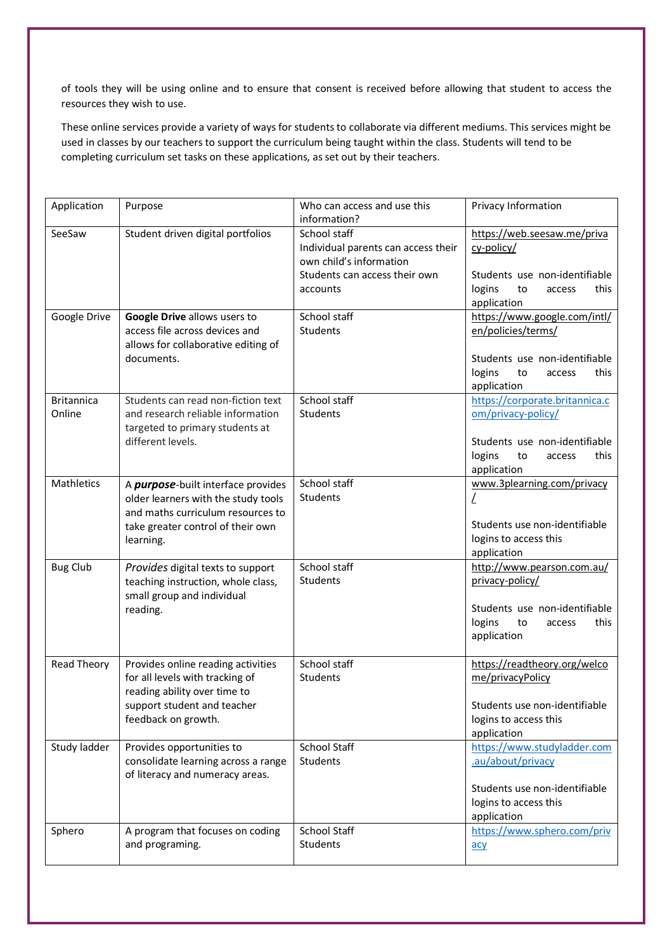of tools they will be using online and to ensure that consent is received before allowing that student to access the resources they wish to use.

These online services provide a variety of ways for students to collaborate via different mediums. This services might be used in classes by our teachers to support the curriculum being taught within the class. Students will tend to be completing curriculum set tasks on these applications, as set out by their teachers.

| Application                 | Purpose                                                                                                                | Who can access and use this<br>information?                                    | Privacy Information                                                            |
|-----------------------------|------------------------------------------------------------------------------------------------------------------------|--------------------------------------------------------------------------------|--------------------------------------------------------------------------------|
| SeeSaw                      | Student driven digital portfolios                                                                                      | School staff<br>Individual parents can access their<br>own child's information | https://web.seesaw.me/priva<br>cy-policy/                                      |
|                             |                                                                                                                        | Students can access their own<br>accounts                                      | Students use non-identifiable<br>logins<br>to<br>this<br>access<br>application |
| Google Drive                | Google Drive allows users to<br>access file across devices and<br>allows for collaborative editing of                  | School staff<br>Students                                                       | https://www.google.com/intl/<br>en/policies/terms/                             |
|                             | documents.                                                                                                             |                                                                                | Students use non-identifiable<br>logins<br>this<br>to<br>access<br>application |
| <b>Britannica</b><br>Online | Students can read non-fiction text<br>and research reliable information<br>targeted to primary students at             | School staff<br>Students                                                       | https://corporate.britannica.c<br>om/privacy-policy/                           |
|                             | different levels.                                                                                                      |                                                                                | Students use non-identifiable<br>logins<br>to<br>this<br>access<br>application |
| <b>Mathletics</b>           | A <i>purpose</i> -built interface provides<br>older learners with the study tools<br>and maths curriculum resources to | School staff<br>Students                                                       | www.3plearning.com/privacy<br>L                                                |
|                             | take greater control of their own<br>learning.                                                                         |                                                                                | Students use non-identifiable<br>logins to access this<br>application          |
| <b>Bug Club</b>             | Provides digital texts to support<br>teaching instruction, whole class,<br>small group and individual                  | School staff<br>Students                                                       | http://www.pearson.com.au/<br>privacy-policy/                                  |
|                             | reading.                                                                                                               |                                                                                | Students use non-identifiable<br>logins<br>to<br>this<br>access<br>application |
| <b>Read Theory</b>          | Provides online reading activities<br>for all levels with tracking of<br>reading ability over time to                  | School staff<br>Students                                                       | https://readtheory.org/welco<br>me/privacyPolicy                               |
|                             | support student and teacher<br>feedback on growth.                                                                     |                                                                                | Students use non-identifiable<br>logins to access this<br>application          |
| Study ladder                | Provides opportunities to<br>consolidate learning across a range<br>of literacy and numeracy areas.                    | School Staff<br>Students                                                       | https://www.studyladder.com<br>.au/about/privacy                               |
|                             |                                                                                                                        |                                                                                | Students use non-identifiable<br>logins to access this<br>application          |
| Sphero                      | A program that focuses on coding<br>and programing.                                                                    | <b>School Staff</b><br>Students                                                | https://www.sphero.com/priv<br>$\overline{acy}$                                |